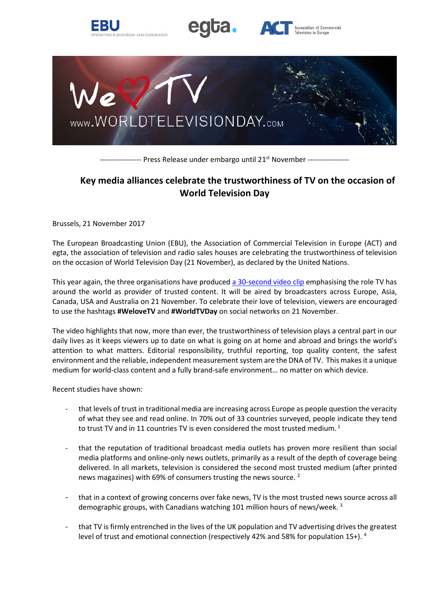



Association of Commercial



------------ Press Release under embargo until 21<sup>st</sup> November -----------------

# **Key media alliances celebrate the trustworthiness of TV on the occasion of World Television Day**

Brussels, 21 November 2017

The European Broadcasting Union (EBU), the Association of Commercial Television in Europe (ACT) and egta, the association of television and radio sales houses are celebrating the trustworthiness of television on the occasion of World Television Day (21 November), as declared by the United Nations.

This year again, the three organisations have produced [a 30-second video](http://bit.ly/WorldTVDayVideo2017) clip emphasising the role TV has around the world as provider of trusted content. It will be aired by broadcasters across Europe, Asia, Canada, USA and Australia on 21 November. To celebrate their love of television, viewers are encouraged to use the hashtags **#WeloveTV** and **#WorldTVDay** on social networks on 21 November.

The video highlights that now, more than ever, the trustworthiness of television plays a central part in our daily lives as it keeps viewers up to date on what is going on at home and abroad and brings the world's attention to what matters. Editorial responsibility, truthful reporting, top quality content, the safest environment and the reliable, independent measurement system are the DNA of TV. This makes it a unique medium for world-class content and a fully brand-safe environment… no matter on which device.

Recent studies have shown:

- that levels of trust in traditional media are increasing across Europe as people question the veracity of what they see and read online. In 70% out of 33 countries surveyed, people indicate they tend to trust TV and in 11 countries TV is even considered the most trusted medium.<sup>1</sup>
- that the reputation of traditional broadcast media outlets has proven more resilient than social media platforms and online-only news outlets, primarily as a result of the depth of coverage being delivered. In all markets, television is considered the second most trusted medium (after printed news magazines) with 69% of consumers trusting the news source. <sup>2</sup>
- that in a context of growing concerns over fake news, TV is the most trusted news source across all demographic groups, with Canadians watching 101 million hours of news/week. <sup>3</sup>
- that TV is firmly entrenched in the lives of the UK population and TV advertising drives the greatest level of trust and emotional connection (respectively 42% and 58% for population 15+). <sup>4</sup>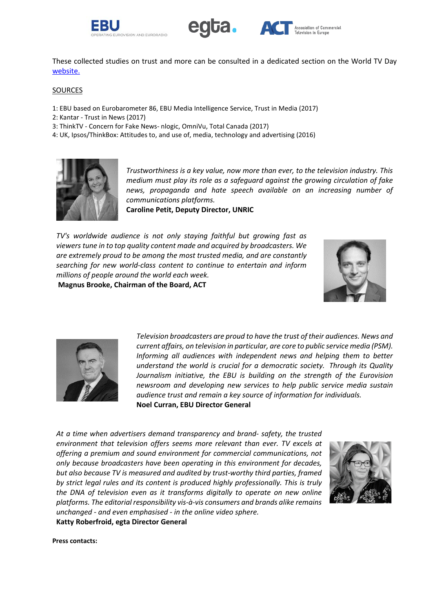



These collected studies on trust and more can be consulted in a dedicated section on the World TV Day [website.](http://www.worldtelevisionday.tv/tv-trust/)

## **SOURCES**

- 1: EBU based on Eurobarometer 86, EBU Media Intelligence Service, Trust in Media (2017)
- 2: Kantar Trust in News (2017)
- 3: ThinkTV Concern for Fake News- nlogic, OmniVu, Total Canada (2017)
- 4: UK, Ipsos/ThinkBox: Attitudes to, and use of, media, technology and advertising (2016)



*Trustworthiness is a key value, now more than ever, to the television industry. This medium must play its role as a safeguard against the growing circulation of fake news, propaganda and hate speech available on an increasing number of communications platforms.*

**Caroline Petit, Deputy Director, UNRIC**

*TV's worldwide audience is not only staying faithful but growing fast as viewers tune in to top quality content made and acquired by broadcasters. We are extremely proud to be among the most trusted media, and are constantly searching for new world-class content to continue to entertain and inform millions of people around the world each week.*







*Television broadcasters are proud to have the trust of their audiences. News and current affairs, on television in particular, are core to public service media (PSM). Informing all audiences with independent news and helping them to better understand the world is crucial for a democratic society. Through its Quality Journalism initiative, the EBU is building on the strength of the Eurovision newsroom and developing new services to help public service media sustain audience trust and remain a key source of information for individuals.* **Noel Curran, EBU Director General**

*At a time when advertisers demand transparency and brand- safety, the trusted environment that television offers seems more relevant than ever. TV excels at offering a premium and sound environment for commercial communications, not only because broadcasters have been operating in this environment for decades, but also because TV is measured and audited by trust-worthy third parties, framed by strict legal rules and its content is produced highly professionally. This is truly the DNA of television even as it transforms digitally to operate on new online platforms. The editorial responsibility vis-à-vis consumers and brands alike remains unchanged - and even emphasised - in the online video sphere.*  **Katty Roberfroid, egta Director General**



**Press contacts:**